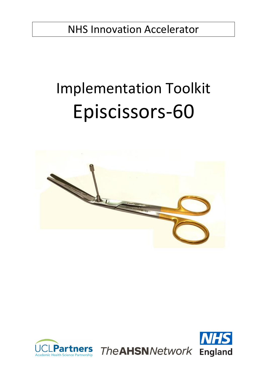NHS Innovation Accelerator

# Implementation Toolkit Episcissors-60





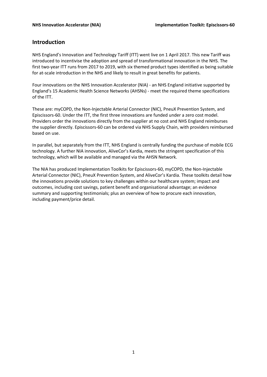# **Introduction**

NHS England's Innovation and Technology Tariff (ITT) went live on 1 April 2017. This new Tariff was introduced to incentivise the adoption and spread of transformational innovation in the NHS. The first two-year ITT runs from 2017 to 2019, with six themed product types identified as being suitable for at-scale introduction in the NHS and likely to result in great benefits for patients.

Four innovations on the NHS Innovation Accelerator (NIA) - an NHS England initiative supported by England's 15 Academic Health Science Networks (AHSNs) - meet the required theme specifications of the ITT.

These are: myCOPD, the Non-Injectable Arterial Connector (NIC), PneuX Prevention System, and Episcissors-60. Under the ITT, the first three innovations are funded under a zero cost model. Providers order the innovations directly from the supplier at no cost and NHS England reimburses the supplier directly. Episcissors-60 can be ordered via NHS Supply Chain, with providers reimbursed based on use.

In parallel, but separately from the ITT, NHS England is centrally funding the purchase of mobile ECG technology. A further NIA innovation, AliveCor's Kardia, meets the stringent specification of this technology, which will be available and managed via the AHSN Network.

The NIA has produced Implementation Toolkits for Episcissors-60, myCOPD, the Non-Injectable Arterial Connector (NIC), PneuX Prevention System, and AliveCor's Kardia. These toolkits detail how the innovations provide solutions to key challenges within our healthcare system; impact and outcomes, including cost savings, patient benefit and organisational advantage; an evidence summary and supporting testimonials; plus an overview of how to procure each innovation, including payment/price detail.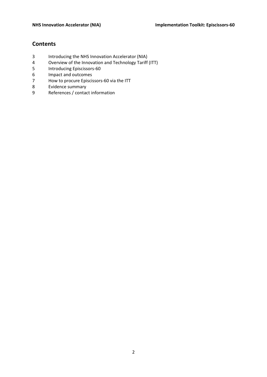# **Contents**

- 3 Introducing the NHS Innovation Accelerator (NIA)<br>4 Overview of the Innovation and Technology Tariff
- 4 Overview of the Innovation and Technology Tariff (ITT)<br>5 Introducing Episcissors-60
- 5 Introducing Episcissors-60
- 6 Impact and outcomes
- 7 How to procure Episcissors-60 via the ITT
- 8 Evidence summary
- 9 References / contact information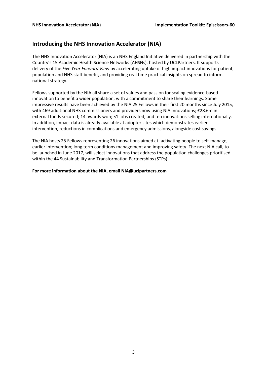# **Introducing the NHS Innovation Accelerator (NIA)**

The NHS Innovation Accelerator (NIA) is an NHS England Initiative delivered in partnership with the Country's 15 Academic Health Science Networks (AHSNs), hosted by UCLPartners. It supports delivery of the *Five Year Forward View* by accelerating uptake of high impact innovations for patient, population and NHS staff benefit, and providing real time practical insights on spread to inform national strategy.

Fellows supported by the NIA all share a set of values and passion for scaling evidence-based innovation to benefit a wider population, with a commitment to share their learnings. Some impressive results have been achieved by the NIA 25 Fellows in their first 20 months since July 2015, with 469 additional NHS commissioners and providers now using NIA innovations; £28.6m in external funds secured; 14 awards won; 51 jobs created; and ten innovations selling internationally. In addition, impact data is already available at adopter sites which demonstrates earlier intervention, reductions in complications and emergency admissions, alongside cost savings.

The NIA hosts 25 Fellows representing 26 innovations aimed at: activating people to self-manage; earlier intervention; long term conditions management and improving safety. The next NIA call, to be launched in June 2017, will select innovations that address the population challenges prioritised within the 44 Sustainability and Transformation Partnerships (STPs).

#### **For more information about the NIA, emai[l NIA@uclpartners.com](mailto:NIA@uclpartners.com)**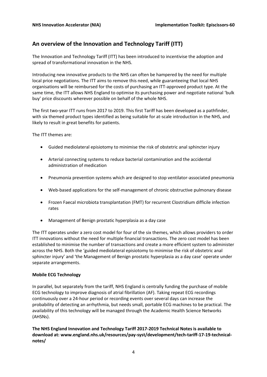# **An overview of the Innovation and Technology Tariff (ITT)**

The Innovation and Technology Tariff (ITT) has been introduced to incentivise the adoption and spread of transformational innovation in the NHS.

Introducing new innovative products to the NHS can often be hampered by the need for multiple local price negotiations. The ITT aims to remove this need, while guaranteeing that local NHS organisations will be reimbursed for the costs of purchasing an ITT-approved product type. At the same time, the ITT allows NHS England to optimise its purchasing power and negotiate national 'bulk buy' price discounts wherever possible on behalf of the whole NHS.

The first two-year ITT runs from 2017 to 2019. This first Tariff has been developed as a pathfinder, with six themed product types identified as being suitable for at-scale introduction in the NHS, and likely to result in great benefits for patients.

The ITT themes are:

- Guided mediolateral episiotomy to minimise the risk of obstetric anal sphincter injury
- Arterial connecting systems to reduce bacterial contamination and the accidental administration of medication
- Pneumonia prevention systems which are designed to stop ventilator-associated pneumonia
- Web-based applications for the self-management of chronic obstructive pulmonary disease
- Frozen Faecal microbiota transplantation (FMT) for recurrent Clostridium difficile infection rates
- Management of Benign prostatic hyperplasia as a day case

The ITT operates under a zero cost model for four of the six themes, which allows providers to order ITT innovations without the need for multiple financial transactions. The zero cost model has been established to minimise the number of transactions and create a more efficient system to administer across the NHS. Both the 'guided mediolateral episiotomy to minimise the risk of obstetric anal sphincter injury' and 'the Management of Benign prostatic hyperplasia as a day case' operate under separate arrangements.

#### **Mobile ECG Technology**

In parallel, but separately from the tariff, NHS England is centrally funding the purchase of mobile ECG technology to improve diagnosis of atrial fibrillation (AF). Taking repeat ECG recordings continuously over a 24-hour period or recording events over several days can increase the probability of detecting an arrhythmia, but needs small, portable ECG machines to be practical. The availability of this technology will be managed through the Academic Health Science Networks (AHSNs).

**The NHS England Innovation and Technology Tariff 2017-2019 Technical Notes is available to download at: [www.england.nhs.uk/resources/pay-syst/development/tech-tariff-17-19-technical](https://www.england.nhs.uk/resources/pay-syst/development/tech-tariff-17-19-technical-notes/)[notes/](https://www.england.nhs.uk/resources/pay-syst/development/tech-tariff-17-19-technical-notes/)**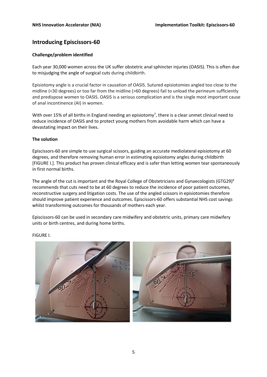# **Introducing Episcissors-60**

#### **Challenge/problem identified**

Each year 30,000 women across the UK suffer obstetric anal sphincter injuries (OASIS). This is often due to misjudging the angle of surgical cuts during childbirth.

Episiotomy angle is a crucial factor in causation of OASIS. Sutured episiotomies angled too close to the midline (<30 degrees) or too far from the midline (>60 degrees) fail to unload the perineum sufficiently and predispose women to OASIS. OASIS is a serious complication and is the single most important cause of anal incontinence (AI) in women.

With over 15% of all births in England needing an episiotomy<sup>7</sup>, there is a clear unmet clinical need to reduce incidence of OASIS and to protect young mothers from avoidable harm which can have a devastating impact on their lives.

#### **The solution**

Episcissors-60 are simple to use surgical scissors, guiding an accurate mediolateral episiotomy at 60 degrees, and therefore removing human error in estimating episiotomy angles during childbirth [FIGURE I.]. This product has proven clinical efficacy and is safer than letting women tear spontaneously in first normal births.

The angle of the cut is important and the Royal College of Obstetricians and Gynaecologists (GTG29)<sup>6</sup> recommends that cuts need to be at 60 degrees to reduce the incidence of poor patient outcomes, reconstructive surgery and litigation costs. The use of the angled scissors in episiotomies therefore should improve patient experience and outcomes. Episcissors-60 offers substantial NHS cost savings whilst transforming outcomes for thousands of mothers each year.

Episcissors-60 can be used in secondary care midwifery and obstetric units, primary care midwifery units or birth centres, and during home births.



FIGURE I.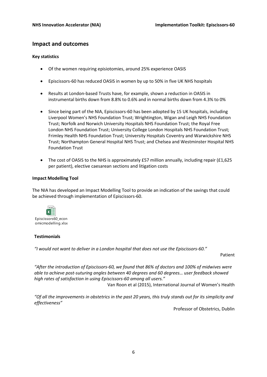### **Impact and outcomes**

#### **Key statistics**

- Of the women requiring episiotomies, around 25% experience OASIS
- Episcissors-60 has reduced OASIS in women by up to 50% in five UK NHS hospitals
- Results at London-based Trusts have, for example, shown a reduction in OASIS in instrumental births down from 8.8% to 0.6% and in normal births down from 4.3% to 0%
- Since being part of the NIA, Episcissors-60 has been adopted by 15 UK hospitals, including Liverpool Women's NHS Foundation Trust; Wrightington, Wigan and Leigh NHS Foundation Trust; Norfolk and Norwich University Hospitals NHS Foundation Trust; the Royal Free London NHS Foundation Trust; University College London Hospitals NHS Foundation Trust; Frimley Health NHS Foundation Trust; University Hospitals Coventry and Warwickshire NHS Trust; Northampton General Hospital NHS Trust; and Chelsea and Westminster Hospital NHS Foundation Trust
- The cost of OASIS to the NHS is approximately £57 million annually, including repair (£1,625) per patient), elective caesarean sections and litigation costs

#### **Impact Modelling Tool**

The NIA has developed an Impact Modelling Tool to provide an indication of the savings that could be achieved through implementation of Episcissors-60.



#### **Testimonials**

*"I would not want to deliver in a London hospital that does not use the Episcissors-60."*

Patient

*"After the introduction of Episcissors-60, we found that 86% of doctors and 100% of midwives were able to achieve post-suturing angles between 40 degrees and 60 degrees… user feedback showed high rates of satisfaction in using Episcissors-60 among all users."*

Van Roon et al (2015), International Journal of Women's Health

*"Of all the improvements in obstetrics in the past 20 years, this truly stands out for its simplicity and effectiveness"*

Professor of Obstetrics, Dublin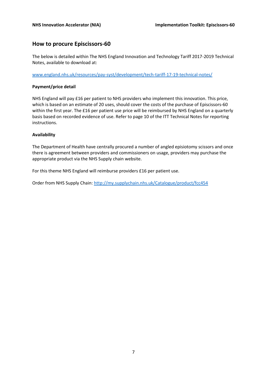# **How to procure Episcissors-60**

The below is detailed within The NHS England Innovation and Technology Tariff 2017-2019 Technical Notes, available to download at:

[www.england.nhs.uk/resources/pay-syst/development/tech-tariff-17-19-technical-notes/](http://www.england.nhs.uk/resources/pay-syst/development/tech-tariff-17-19-technical-notes/) 

#### **Payment/price detail**

NHS England will pay £16 per patient to NHS providers who implement this innovation. This price, which is based on an estimate of 20 uses, should cover the costs of the purchase of Episcissors-60 within the first year. The £16 per patient use price will be reimbursed by NHS England on a quarterly basis based on recorded evidence of use. Refer to page 10 of the ITT Technical Notes for reporting instructions.

#### **Availability**

The Department of Health have centrally procured a number of angled episiotomy scissors and once there is agreement between providers and commissioners on usage, providers may purchase the appropriate product via the NHS Supply chain website.

For this theme NHS England will reimburse providers £16 per patient use.

Order from NHS Supply Chain: <http://my.supplychain.nhs.uk/Catalogue/product/fcc454>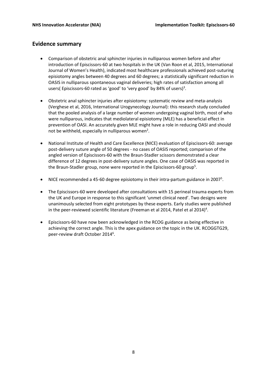# **Evidence summary**

- Comparison of obstetric anal sphincter injuries in nulliparous women before and after introduction of Episcissors-60 at two hospitals in the UK (Van Roon et al, 2015, International Journal of Women's Health), indicated most healthcare professionals achieved post-suturing episiotomy angles between 40 degrees and 60 degrees; a statistically significant reduction in OASIS in nulliparous spontaneous vaginal deliveries; high rates of satisfaction among all users(Episcissors-60 rated as 'good' to 'very good' by 84% of users)<sup>3</sup>.
- Obstetric anal sphincter injuries after episiotomy: systematic review and meta-analysis (Verghese et al, 2016, International Urogynecology Journal): this research study concluded that the pooled analysis of a large number of women undergoing vaginal birth, most of who were nulliparous, indicates that mediolateral episiotomy (MLE) has a beneficial effect in prevention of OASI. An accurately given MLE might have a role in reducing OASI and should not be withheld, especially in nulliparous women<sup>2</sup>.
- National Institute of Health and Care Excellence (NICE) evaluation of Episcissors-60: average post-delivery suture angle of 50 degrees - no cases of OASIS reported; comparison of the angled version of Episcissors-60 with the Braun-Stadler scissors demonstrated a clear difference of 12 degrees in post-delivery suture angles. One case of OASIS was reported in the Braun-Stadler group, none were reported in the Episcissors-60 group<sup>5</sup>.
- NICE recommended a 45-60 degree episiotomy in their intra-partum guidance in 2007<sup>5</sup>.
- The Episcissors-60 were developed after consultations with 15 perineal trauma experts from the UK and Europe in response to this significant 'unmet clinical need'. Two designs were unanimously selected from eight prototypes by these experts. Early studies were published in the peer-reviewed scientific literature (Freeman et al 2014, Patel et al 2014)<sup>4</sup>.
- Episcissors-60 have now been acknowledged in the RCOG guidance as being effective in achieving the correct angle. This is the apex guidance on the topic in the UK. RCOGGTG29, peer-review draft October 2014<sup>6</sup>.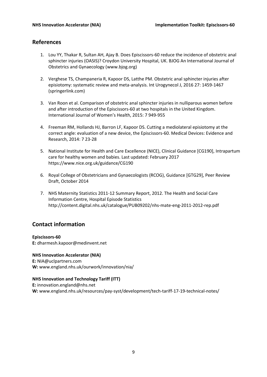# **References**

- 1. Lou YY, Thakar R, Sultan AH, Ajay B. Does Episcissors-60 reduce the incidence of obstetric anal sphincter injuries (OASIS)? Croydon University Hospital, UK. BJOG An International Journal of Obstetrics and Gynaecology [\(www.bjog.org\)](http://www.bjog.org/)
- 2. Verghese TS, Champaneria R, Kapoor DS, Latthe PM. Obstetric anal sphincter injuries after episiotomy: systematic review and meta-analysis. Int Urogynecol J, 2016 27: 1459-1467 (springerlink.com)
- 3. Van Roon et al. Comparison of obstetric anal sphincter injuries in nulliparous women before and after introduction of the Episcissors-60 at two hospitals in the United Kingdom. International Journal of Women's Health, 2015: 7 949-955
- 4. Freeman RM, Hollands HJ, Barron LF, Kapoor DS. Cutting a mediolateral episiotomy at the correct angle: evaluation of a new device, the Episcissors-60. Medical Devices: Evidence and Research, 2014: 7 23-28
- 5. National Institute for Health and Care Excellence (NICE), Clinical Guidance [CG190], Intrapartum care for healthy women and babies. Last updated: February 2017 <https://www.nice.org.uk/guidance/CG190>
- 6. Royal College of Obstetricians and Gynaecologists (RCOG), Guidance [GTG29], Peer Review Draft, October 2014
- 7. NHS Maternity Statistics 2011-12 Summary Report, 2012. The Health and Social Care Information Centre, Hospital Episode Statistics http://content.digital.nhs.uk/catalogue/PUB09202/nhs-mate-eng-2011-2012-rep.pdf

# **Contact information**

#### **Episcissors-60**

**E:** dharmesh.kapoor@medinvent.net

**NHS Innovation Accelerator (NIA) E:** NIA@uclpartners.com **W:** www.england.nhs.uk/ourwork/innovation/nia/

#### **NHS Innovation and Technology Tariff (ITT)**

**E:** innovation.england@nhs.net **W:** [www.england.nhs.uk/resources/pay-syst/development/tech-tariff-17-19-technical-notes/](http://www.england.nhs.uk/resources/pay-syst/development/tech-tariff-17-19-technical-notes/)